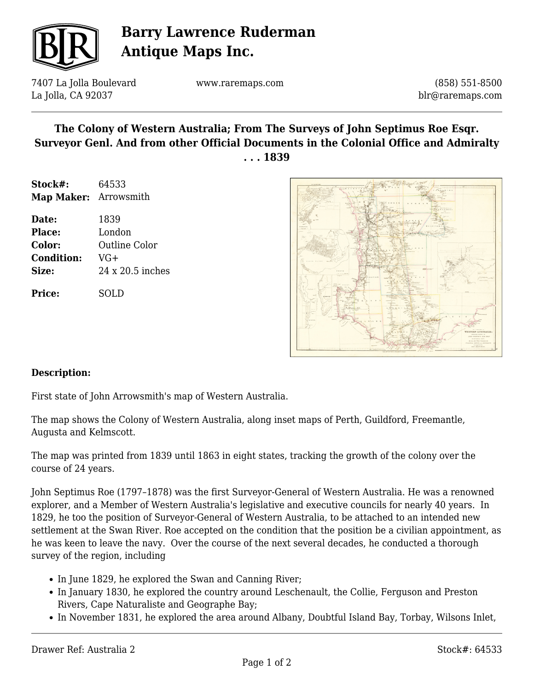

## **Barry Lawrence Ruderman Antique Maps Inc.**

7407 La Jolla Boulevard La Jolla, CA 92037

www.raremaps.com

(858) 551-8500 blr@raremaps.com

#### **The Colony of Western Australia; From The Surveys of John Septimus Roe Esqr. Surveyor Genl. And from other Official Documents in the Colonial Office and Admiralty . . . 1839**

- **Stock#:** 64533 **Map Maker:** Arrowsmith
- **Date:** 1839 **Place:** London **Color:** Outline Color **Condition:** VG+ **Size:** 24 x 20.5 inches

**Price:** SOLD



#### **Description:**

First state of John Arrowsmith's map of Western Australia.

The map shows the Colony of Western Australia, along inset maps of Perth, Guildford, Freemantle, Augusta and Kelmscott.

The map was printed from 1839 until 1863 in eight states, tracking the growth of the colony over the course of 24 years.

John Septimus Roe (1797–1878) was the first Surveyor-General of Western Australia. He was a renowned explorer, and a Member of Western Australia's legislative and executive councils for nearly 40 years. In 1829, he too the position of Surveyor-General of Western Australia, to be attached to an intended new settlement at the Swan River. Roe accepted on the condition that the position be a civilian appointment, as he was keen to leave the navy. Over the course of the next several decades, he conducted a thorough survey of the region, including

- In June 1829, he explored the Swan and Canning River;
- In January 1830, he explored the country around Leschenault, the Collie, Ferguson and Preston Rivers, Cape Naturaliste and Geographe Bay;
- In November 1831, he explored the area around Albany, Doubtful Island Bay, Torbay, Wilsons Inlet,